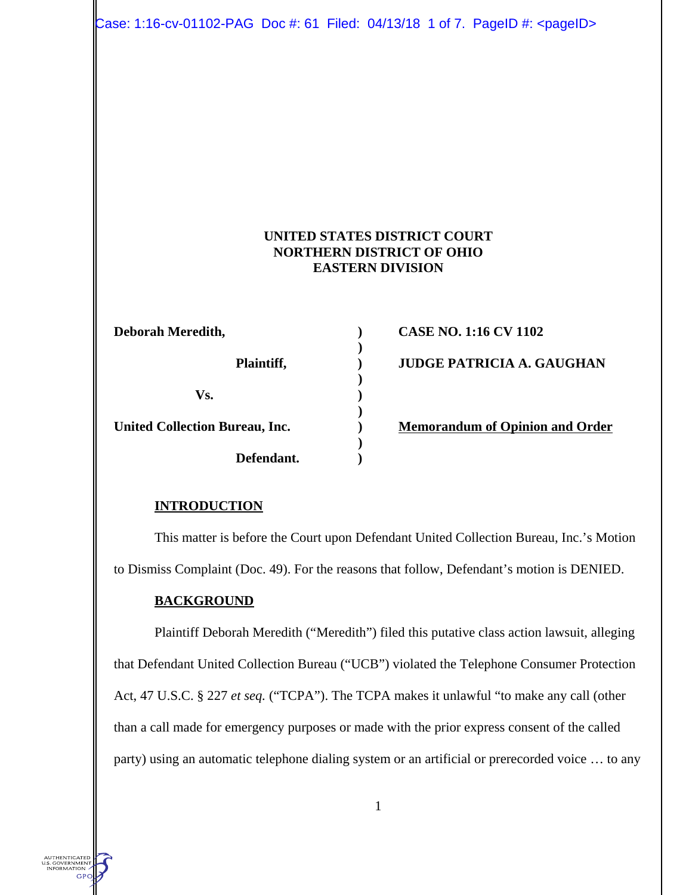Case: 1:16-cv-01102-PAG Doc #: 61 Filed: 04/13/18 1 of 7. PageID #: <pageID>

### **UNITED STATES DISTRICT COURT NORTHERN DISTRICT OF OHIO EASTERN DIVISION**

| Deborah Meredith,              |  |
|--------------------------------|--|
| Plaintiff,                     |  |
| Vs.                            |  |
| United Collection Bureau, Inc. |  |
| Defendant.                     |  |

**Deborah CASE NO. 1:16 CV 1102 Planned A. GAUGHAN** 

**Nemorandum of Opinion and Order** 

#### **INTRODUCTION**

This matter is before the Court upon Defendant United Collection Bureau, Inc.'s Motion to Dismiss Complaint (Doc. 49). For the reasons that follow, Defendant's motion is DENIED.

#### **BACKGROUND**

AUTHENTICATED<br>.S. GOVERNMENT<br>INFORMATION -GPC

Plaintiff Deborah Meredith ("Meredith") filed this putative class action lawsuit, alleging that Defendant United Collection Bureau ("UCB") violated the Telephone Consumer Protection Act, 47 U.S.C. § 227 *et seq.* ("TCPA"). The TCPA makes it unlawful "to make any call (other than a call made for emergency purposes or made with the prior express consent of the called party) using an automatic telephone dialing system or an artificial or prerecorded voice … to any

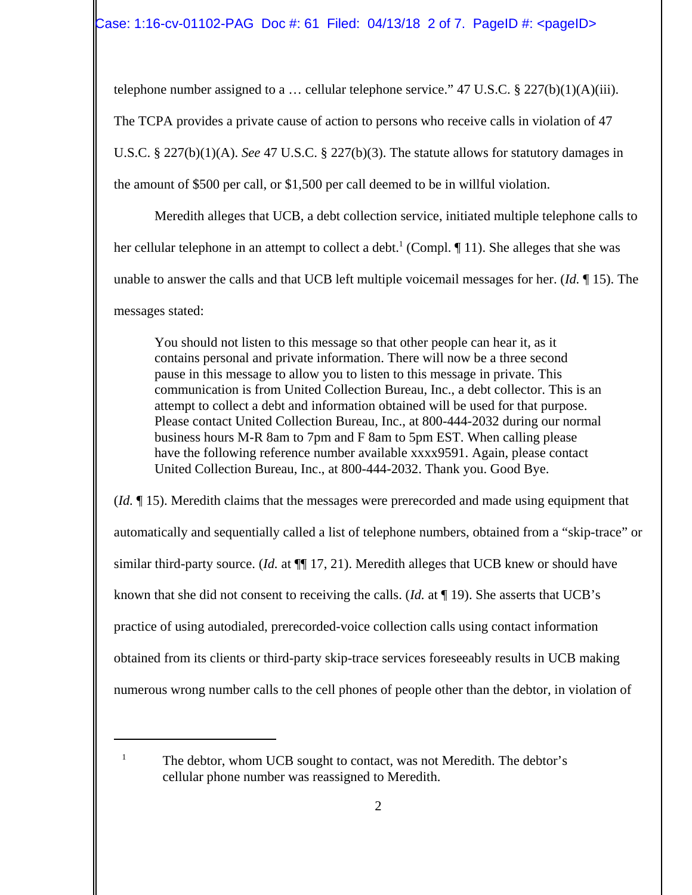telephone number assigned to a ... cellular telephone service." 47 U.S.C.  $\S 227(b)(1)(A)(iii)$ . The TCPA provides a private cause of action to persons who receive calls in violation of 47 U.S.C. § 227(b)(1)(A). *See* 47 U.S.C. § 227(b)(3). The statute allows for statutory damages in the amount of \$500 per call, or \$1,500 per call deemed to be in willful violation.

Meredith alleges that UCB, a debt collection service, initiated multiple telephone calls to her cellular telephone in an attempt to collect a debt.<sup>1</sup> (Compl.  $\P$  11). She alleges that she was unable to answer the calls and that UCB left multiple voicemail messages for her. (*Id.* ¶ 15). The messages stated:

You should not listen to this message so that other people can hear it, as it contains personal and private information. There will now be a three second pause in this message to allow you to listen to this message in private. This communication is from United Collection Bureau, Inc., a debt collector. This is an attempt to collect a debt and information obtained will be used for that purpose. Please contact United Collection Bureau, Inc., at 800-444-2032 during our normal business hours M-R 8am to 7pm and F 8am to 5pm EST. When calling please have the following reference number available xxxx9591. Again, please contact United Collection Bureau, Inc., at 800-444-2032. Thank you. Good Bye.

(*Id.* ¶ 15). Meredith claims that the messages were prerecorded and made using equipment that automatically and sequentially called a list of telephone numbers, obtained from a "skip-trace" or similar third-party source. (*Id.* at  $\P$  17, 21). Meredith alleges that UCB knew or should have known that she did not consent to receiving the calls. (*Id.* at ¶ 19). She asserts that UCB's practice of using autodialed, prerecorded-voice collection calls using contact information obtained from its clients or third-party skip-trace services foreseeably results in UCB making numerous wrong number calls to the cell phones of people other than the debtor, in violation of

<sup>1</sup> The debtor, whom UCB sought to contact, was not Meredith. The debtor's cellular phone number was reassigned to Meredith.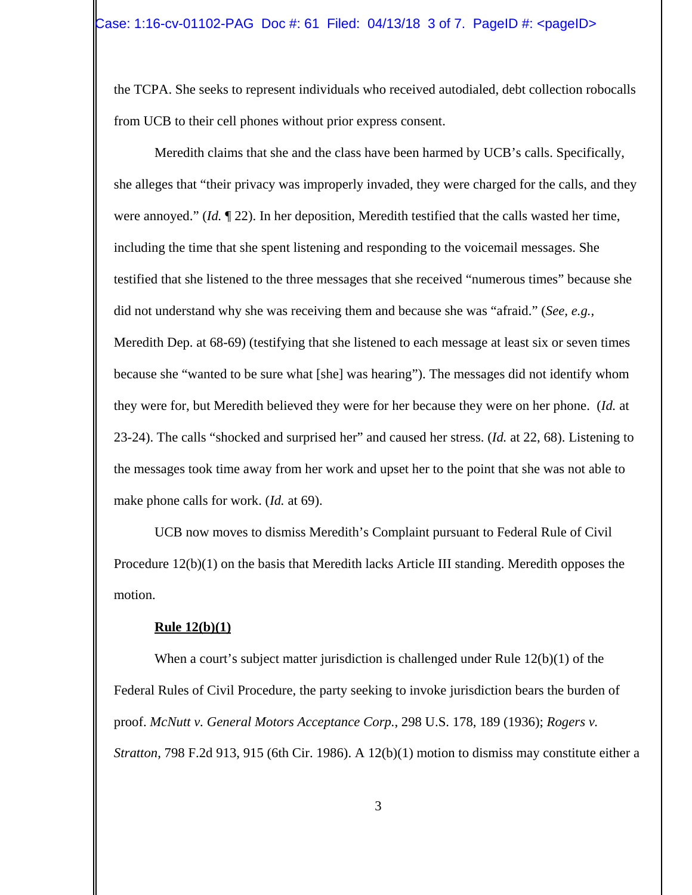the TCPA. She seeks to represent individuals who received autodialed, debt collection robocalls from UCB to their cell phones without prior express consent.

Meredith claims that she and the class have been harmed by UCB's calls. Specifically, she alleges that "their privacy was improperly invaded, they were charged for the calls, and they were annoyed." (*Id.* ¶ 22). In her deposition, Meredith testified that the calls wasted her time, including the time that she spent listening and responding to the voicemail messages. She testified that she listened to the three messages that she received "numerous times" because she did not understand why she was receiving them and because she was "afraid." (*See, e.g.,* Meredith Dep. at 68-69) (testifying that she listened to each message at least six or seven times because she "wanted to be sure what [she] was hearing"). The messages did not identify whom they were for, but Meredith believed they were for her because they were on her phone. (*Id.* at 23-24). The calls "shocked and surprised her" and caused her stress. (*Id.* at 22, 68). Listening to the messages took time away from her work and upset her to the point that she was not able to make phone calls for work. (*Id.* at 69).

UCB now moves to dismiss Meredith's Complaint pursuant to Federal Rule of Civil Procedure 12(b)(1) on the basis that Meredith lacks Article III standing. Meredith opposes the motion.

#### **Rule 12(b)(1)**

When a court's subject matter jurisdiction is challenged under Rule 12(b)(1) of the Federal Rules of Civil Procedure, the party seeking to invoke jurisdiction bears the burden of proof. *McNutt v. General Motors Acceptance Corp.*, 298 U.S. 178, 189 (1936); *Rogers v. Stratton*, 798 F.2d 913, 915 (6th Cir. 1986). A 12(b)(1) motion to dismiss may constitute either a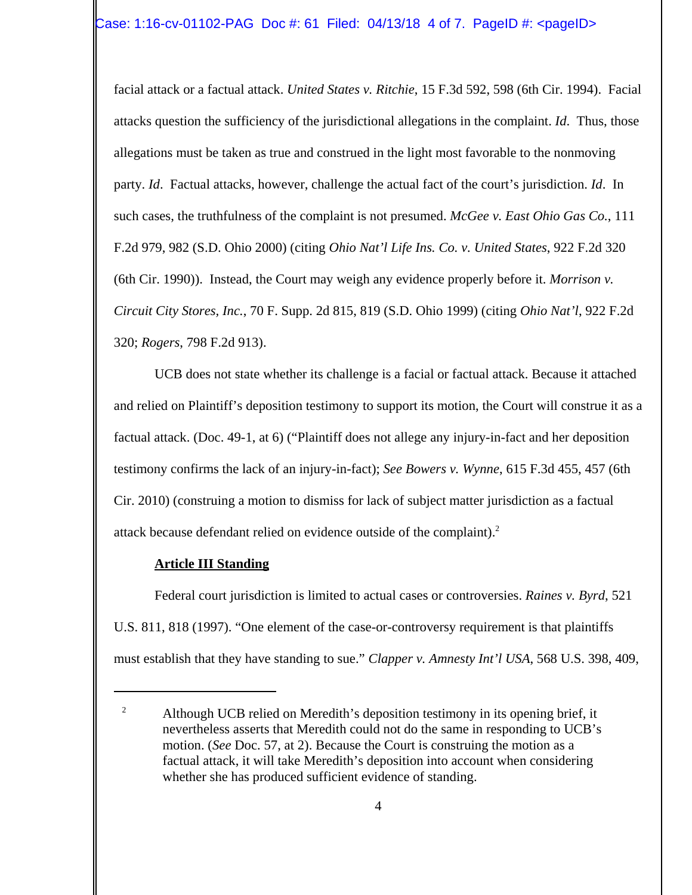facial attack or a factual attack. *United States v. Ritchie*, 15 F.3d 592, 598 (6th Cir. 1994). Facial attacks question the sufficiency of the jurisdictional allegations in the complaint. *Id*. Thus, those allegations must be taken as true and construed in the light most favorable to the nonmoving party. *Id*. Factual attacks, however, challenge the actual fact of the court's jurisdiction. *Id*. In such cases, the truthfulness of the complaint is not presumed. *McGee v. East Ohio Gas Co.*, 111 F.2d 979, 982 (S.D. Ohio 2000) (citing *Ohio Nat'l Life Ins. Co. v. United States*, 922 F.2d 320 (6th Cir. 1990)). Instead, the Court may weigh any evidence properly before it. *Morrison v. Circuit City Stores, Inc.*, 70 F. Supp. 2d 815, 819 (S.D. Ohio 1999) (citing *Ohio Nat'l*, 922 F.2d 320; *Rogers*, 798 F.2d 913).

UCB does not state whether its challenge is a facial or factual attack. Because it attached and relied on Plaintiff's deposition testimony to support its motion, the Court will construe it as a factual attack. (Doc. 49-1, at 6) ("Plaintiff does not allege any injury-in-fact and her deposition testimony confirms the lack of an injury-in-fact); *See Bowers v. Wynne*, 615 F.3d 455, 457 (6th Cir. 2010) (construing a motion to dismiss for lack of subject matter jurisdiction as a factual attack because defendant relied on evidence outside of the complaint).<sup>2</sup>

## **Article III Standing**

Federal court jurisdiction is limited to actual cases or controversies. *Raines v. Byrd*, 521 U.S. 811, 818 (1997). "One element of the case-or-controversy requirement is that plaintiffs must establish that they have standing to sue." *Clapper v. Amnesty Int'l USA*, 568 U.S. 398, 409,

<sup>&</sup>lt;sup>2</sup> Although UCB relied on Meredith's deposition testimony in its opening brief, it nevertheless asserts that Meredith could not do the same in responding to UCB's motion. (*See* Doc. 57, at 2). Because the Court is construing the motion as a factual attack, it will take Meredith's deposition into account when considering whether she has produced sufficient evidence of standing.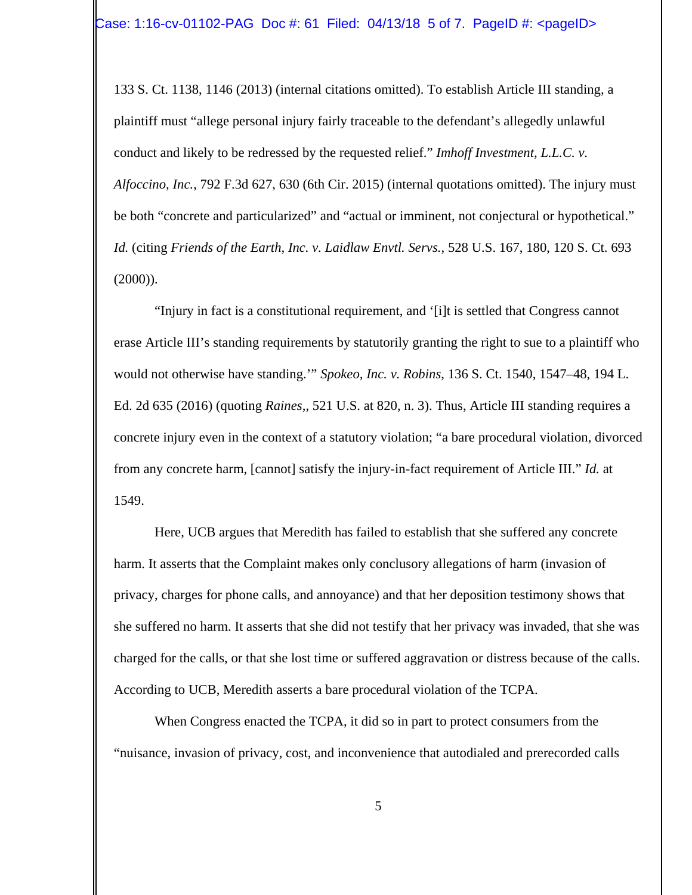133 S. Ct. 1138, 1146 (2013) (internal citations omitted). To establish Article III standing, a plaintiff must "allege personal injury fairly traceable to the defendant's allegedly unlawful conduct and likely to be redressed by the requested relief." *Imhoff Investment, L.L.C. v. Alfoccino, Inc.*, 792 F.3d 627, 630 (6th Cir. 2015) (internal quotations omitted). The injury must be both "concrete and particularized" and "actual or imminent, not conjectural or hypothetical." *Id.* (citing *Friends of the Earth, Inc. v. Laidlaw Envtl. Servs.*, 528 U.S. 167, 180, 120 S. Ct. 693  $(2000)$ ).

"Injury in fact is a constitutional requirement, and '[i]t is settled that Congress cannot erase Article III's standing requirements by statutorily granting the right to sue to a plaintiff who would not otherwise have standing.'" *Spokeo, Inc. v. Robins*, 136 S. Ct. 1540, 1547–48, 194 L. Ed. 2d 635 (2016) (quoting *Raines,*, 521 U.S. at 820, n. 3). Thus, Article III standing requires a concrete injury even in the context of a statutory violation; "a bare procedural violation, divorced from any concrete harm, [cannot] satisfy the injury-in-fact requirement of Article III." *Id.* at 1549.

Here, UCB argues that Meredith has failed to establish that she suffered any concrete harm. It asserts that the Complaint makes only conclusory allegations of harm (invasion of privacy, charges for phone calls, and annoyance) and that her deposition testimony shows that she suffered no harm. It asserts that she did not testify that her privacy was invaded, that she was charged for the calls, or that she lost time or suffered aggravation or distress because of the calls. According to UCB, Meredith asserts a bare procedural violation of the TCPA.

When Congress enacted the TCPA, it did so in part to protect consumers from the "nuisance, invasion of privacy, cost, and inconvenience that autodialed and prerecorded calls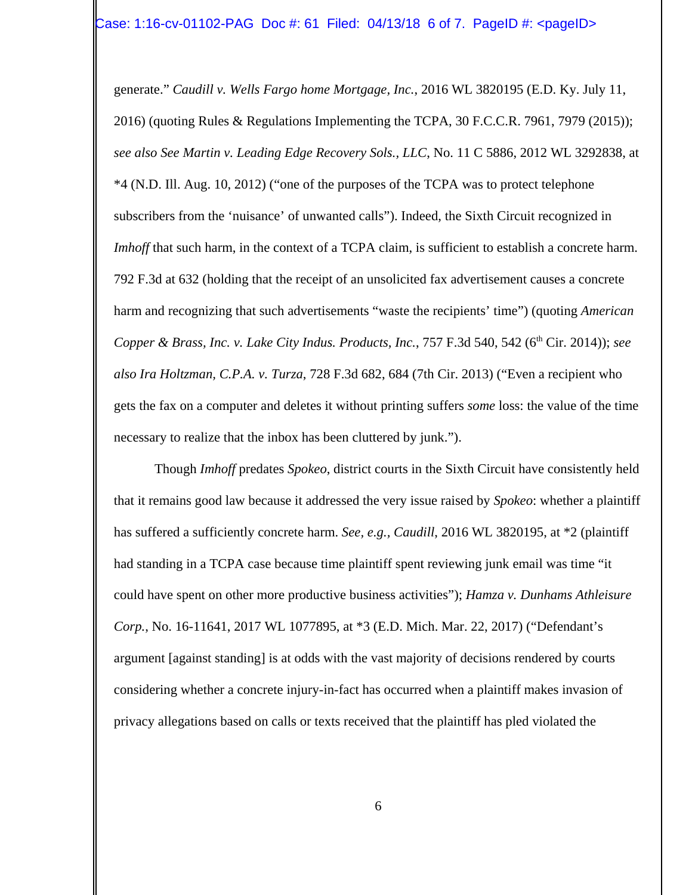generate." *Caudill v. Wells Fargo home Mortgage, Inc.*, 2016 WL 3820195 (E.D. Ky. July 11, 2016) (quoting Rules & Regulations Implementing the TCPA, 30 F.C.C.R. 7961, 7979 (2015)); *see also See Martin v. Leading Edge Recovery Sols., LLC*, No. 11 C 5886, 2012 WL 3292838, at \*4 (N.D. Ill. Aug. 10, 2012) ("one of the purposes of the TCPA was to protect telephone subscribers from the 'nuisance' of unwanted calls"). Indeed, the Sixth Circuit recognized in *Imhoff* that such harm, in the context of a TCPA claim, is sufficient to establish a concrete harm. 792 F.3d at 632 (holding that the receipt of an unsolicited fax advertisement causes a concrete harm and recognizing that such advertisements "waste the recipients' time") (quoting *American Copper & Brass, Inc. v. Lake City Indus. Products, Inc., 757 F.3d 540, 542 (6<sup>th</sup> Cir. 2014)); see also Ira Holtzman, C.P.A. v. Turza*, 728 F.3d 682, 684 (7th Cir. 2013) ("Even a recipient who gets the fax on a computer and deletes it without printing suffers *some* loss: the value of the time necessary to realize that the inbox has been cluttered by junk.").

Though *Imhoff* predates *Spokeo*, district courts in the Sixth Circuit have consistently held that it remains good law because it addressed the very issue raised by *Spokeo*: whether a plaintiff has suffered a sufficiently concrete harm. *See, e.g., Caudill*, 2016 WL 3820195, at \*2 (plaintiff had standing in a TCPA case because time plaintiff spent reviewing junk email was time "it could have spent on other more productive business activities"); *Hamza v. Dunhams Athleisure Corp.*, No. 16-11641, 2017 WL 1077895, at \*3 (E.D. Mich. Mar. 22, 2017) ("Defendant's argument [against standing] is at odds with the vast majority of decisions rendered by courts considering whether a concrete injury-in-fact has occurred when a plaintiff makes invasion of privacy allegations based on calls or texts received that the plaintiff has pled violated the